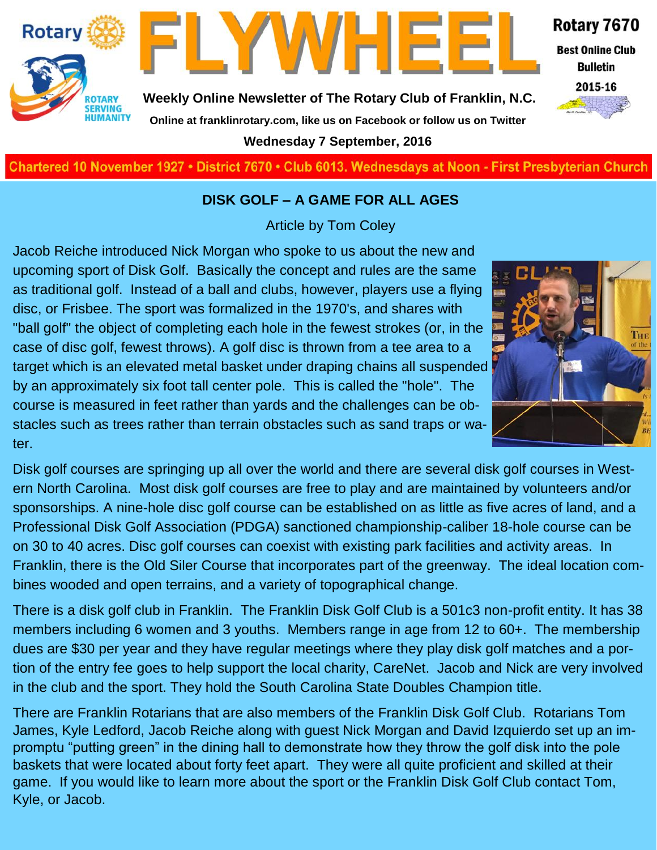



**Weekly Online Newsletter of The Rotary Club of Franklin, N.C. Online at franklinrotary.com, like us on Facebook or follow us on Twitter**

**Wednesday 7 September, 2016**

**Charted November 29, 1927 • District 7670 • Club 6013 Wednesdays at Noon - First Presbyterian Church**

#### **DISK GOLF – A GAME FOR ALL AGES**

Article by Tom Coley

Jacob Reiche introduced Nick Morgan who spoke to us about the new and upcoming sport of Disk Golf. Basically the concept and rules are the same as traditional golf. Instead of a ball and clubs, however, players use a flying disc, or Frisbee. The sport was formalized in the 1970's, and shares with "ball golf" the object of completing each hole in the fewest strokes (or, in the case of disc golf, fewest throws). A golf disc is thrown from a tee area to a target which is an elevated metal basket under draping chains all suspended by an approximately six foot tall center pole. This is called the "hole". The course is measured in feet rather than yards and the challenges can be obstacles such as trees rather than terrain obstacles such as sand traps or water.

Disk golf courses are springing up all over the world and there are several disk golf courses in Western North Carolina. Most disk golf courses are free to play and are maintained by volunteers and/or sponsorships. A nine-hole disc golf course can be established on as little as five acres of land, and a Professional Disk Golf Association (PDGA) sanctioned championship-caliber 18-hole course can be on 30 to 40 acres. Disc golf courses can coexist with existing park facilities and activity areas. In Franklin, there is the Old Siler Course that incorporates part of the greenway. The ideal location combines wooded and open terrains, and a variety of topographical change.

There is a disk golf club in Franklin. The Franklin Disk Golf Club is a 501c3 non-profit entity. It has 38 members including 6 women and 3 youths. Members range in age from 12 to 60+. The membership dues are \$30 per year and they have regular meetings where they play disk golf matches and a portion of the entry fee goes to help support the local charity, CareNet. Jacob and Nick are very involved in the club and the sport. They hold the South Carolina State Doubles Champion title.

There are Franklin Rotarians that are also members of the Franklin Disk Golf Club. Rotarians Tom James, Kyle Ledford, Jacob Reiche along with guest Nick Morgan and David Izquierdo set up an impromptu "putting green" in the dining hall to demonstrate how they throw the golf disk into the pole baskets that were located about forty feet apart. They were all quite proficient and skilled at their game. If you would like to learn more about the sport or the Franklin Disk Golf Club contact Tom, Kyle, or Jacob.





Rotary 7670

**Best Online Club Bulletin**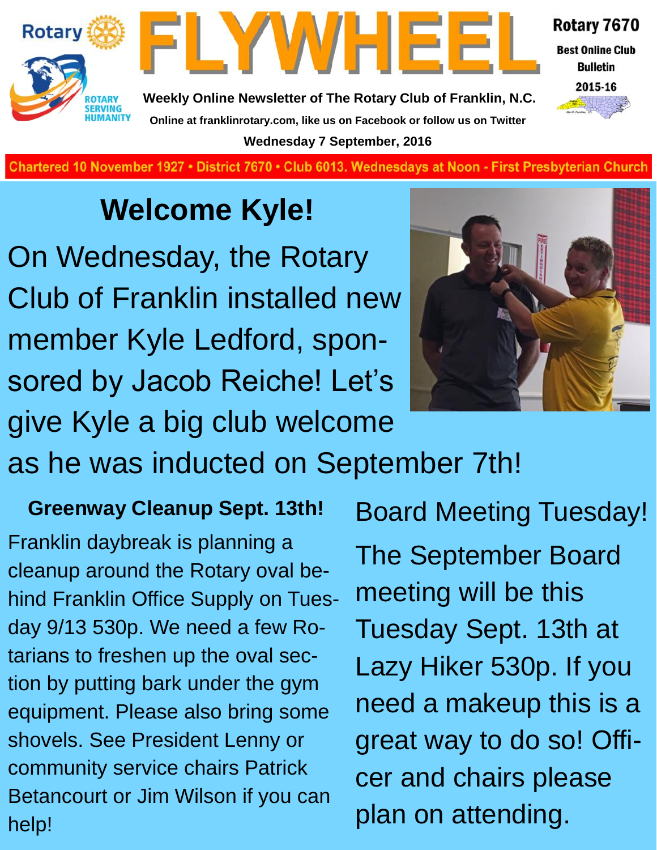



**Weekly Online Newsletter of The Rotary Club of Franklin, N.C. Online at franklinrotary.com, like us on Facebook or follow us on Twitter Wednesday 7 September, 2016**

**Charted November 29, 1927 • District 7670 • Club 6013 Wednesdays at Noon - First Presbyterian Church**

## **Welcome Kyle!**

On Wednesday, the Rotary Club of Franklin installed new member Kyle Ledford, sponsored by Jacob Reiche! Let's give Kyle a big club welcome as he was inducted on September 7th!



Rotary 7670

**Best Online Club Bulletin** 2015-16

**Greenway Cleanup Sept. 13th!**

Franklin daybreak is planning a cleanup around the Rotary oval behind Franklin Office Supply on Tuesday 9/13 530p. We need a few Rotarians to freshen up the oval section by putting bark under the gym equipment. Please also bring some shovels. See President Lenny or community service chairs Patrick Betancourt or Jim Wilson if you can help!

Board Meeting Tuesday! The September Board meeting will be this Tuesday Sept. 13th at Lazy Hiker 530p. If you need a makeup this is a great way to do so! Officer and chairs please plan on attending.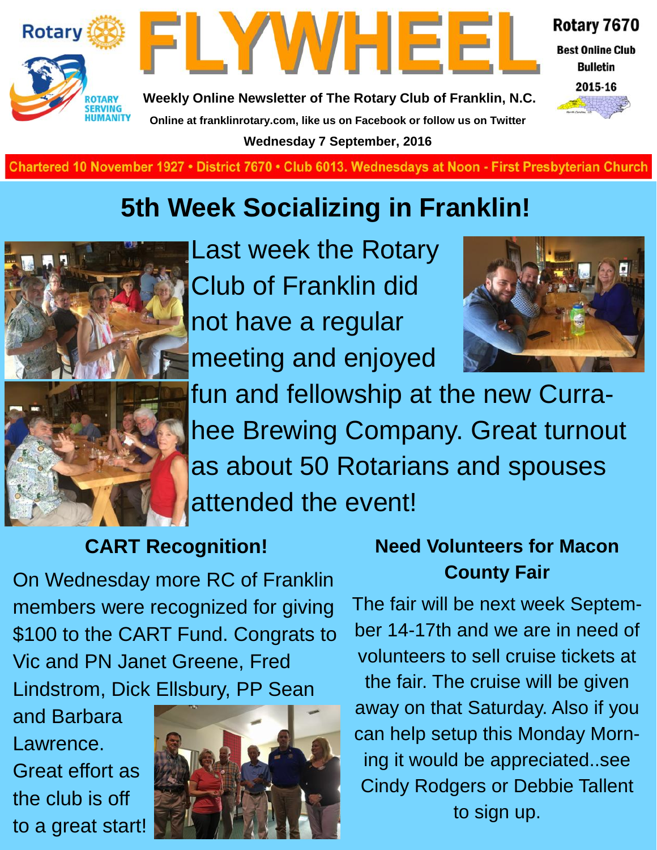



Rotary 7670 **Best Online Club Bulletin** 

2015-16

**Weekly Online Newsletter of The Rotary Club of Franklin, N.C. Online at franklinrotary.com, like us on Facebook or follow us on Twitter Wednesday 7 September, 2016**

**Charted November 29, 1927 • District 7670 • Club 6013 Wednesdays at Noon - First Presbyterian Church**

## **5th Week Socializing in Franklin!**



Last week the Rotary Club of Franklin did not have a regular meeting and enjoyed



fun and fellowship at the new Currahee Brewing Company. Great turnout as about 50 Rotarians and spouses attended the event!

## **CART Recognition!**

On Wednesday more RC of Franklin members were recognized for giving \$100 to the CART Fund. Congrats to Vic and PN Janet Greene, Fred Lindstrom, Dick Ellsbury, PP Sean

and Barbara Lawrence. Great effort as the club is off to a great start!



### **Need Volunteers for Macon County Fair**

The fair will be next week September 14-17th and we are in need of volunteers to sell cruise tickets at the fair. The cruise will be given away on that Saturday. Also if you can help setup this Monday Morning it would be appreciated..see Cindy Rodgers or Debbie Tallent to sign up.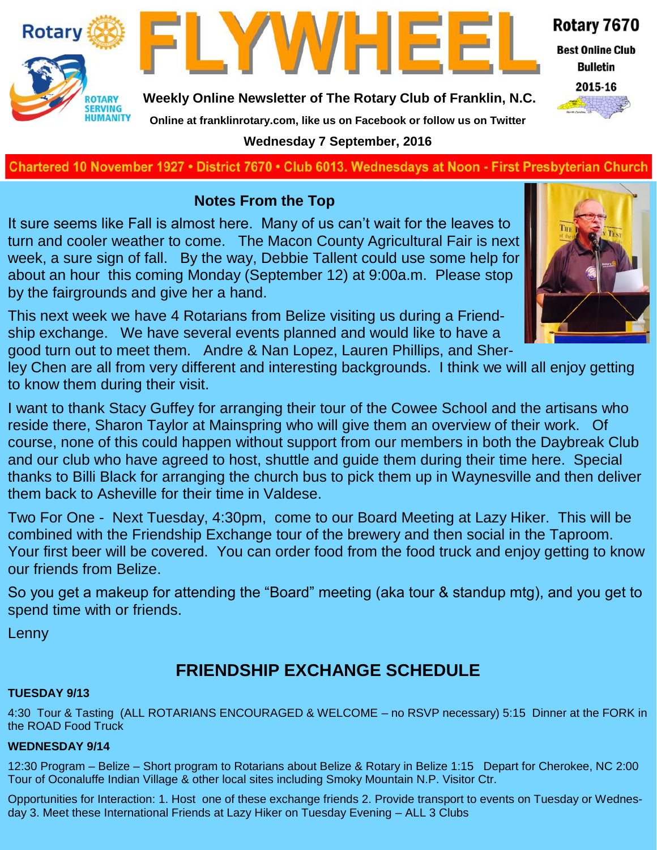



**Weekly Online Newsletter of The Rotary Club of Franklin, N.C.**

**Online at franklinrotary.com, like us on Facebook or follow us on Twitter**

#### Rotary 7670

**Best Online Club Bulletin** 



#### **Wednesday 7 September, 2016**

**Charted November 29, 1927 • District 7670 • Club 6013 Wednesdays at Noon - First Presbyterian Church**

#### **Notes From the Top**

It sure seems like Fall is almost here. Many of us can't wait for the leaves to turn and cooler weather to come. The Macon County Agricultural Fair is next week, a sure sign of fall. By the way, Debbie Tallent could use some help for about an hour this coming Monday (September 12) at 9:00a.m. Please stop by the fairgrounds and give her a hand.

This next week we have 4 Rotarians from Belize visiting us during a Friendship exchange. We have several events planned and would like to have a good turn out to meet them. Andre & Nan Lopez, Lauren Phillips, and Sher-

ley Chen are all from very different and interesting backgrounds. I think we will all enjoy getting to know them during their visit.

I want to thank Stacy Guffey for arranging their tour of the Cowee School and the artisans who reside there, Sharon Taylor at Mainspring who will give them an overview of their work. Of course, none of this could happen without support from our members in both the Daybreak Club and our club who have agreed to host, shuttle and guide them during their time here. Special thanks to Billi Black for arranging the church bus to pick them up in Waynesville and then deliver them back to Asheville for their time in Valdese.

Two For One - Next Tuesday, 4:30pm, come to our Board Meeting at Lazy Hiker. This will be combined with the Friendship Exchange tour of the brewery and then social in the Taproom. Your first beer will be covered. You can order food from the food truck and enjoy getting to know our friends from Belize.

So you get a makeup for attending the "Board" meeting (aka tour & standup mtg), and you get to spend time with or friends.

Lenny

### **FRIENDSHIP EXCHANGE SCHEDULE**

#### **TUESDAY 9/13**

4:30 Tour & Tasting (ALL ROTARIANS ENCOURAGED & WELCOME – no RSVP necessary) 5:15 Dinner at the FORK in the ROAD Food Truck

#### **WEDNESDAY 9/14**

12:30 Program – Belize – Short program to Rotarians about Belize & Rotary in Belize 1:15 Depart for Cherokee, NC 2:00 Tour of Oconaluffe Indian Village & other local sites including Smoky Mountain N.P. Visitor Ctr.

Opportunities for Interaction: 1. Host one of these exchange friends 2. Provide transport to events on Tuesday or Wednesday 3. Meet these International Friends at Lazy Hiker on Tuesday Evening – ALL 3 Clubs

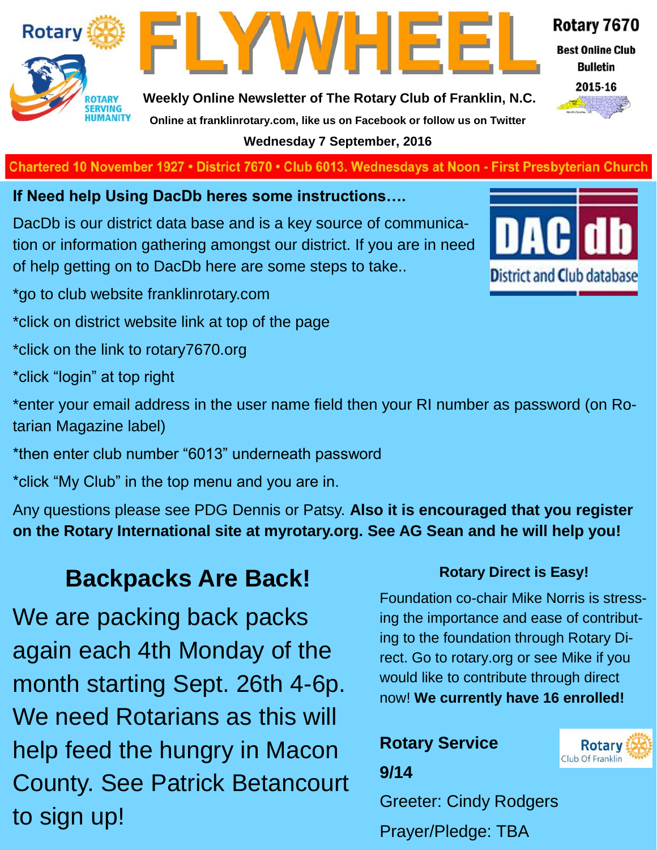



**Weekly Online Newsletter of The Rotary Club of Franklin, N.C. Online at franklinrotary.com, like us on Facebook or follow us on Twitter Wednesday 7 September, 2016**

**Charted November 29, 1927 • District 7670 • Club 6013 Wednesdays at Noon - First Presbyterian Church**

**If Need help Using DacDb heres some instructions….**

DacDb is our district data base and is a key source of communication or information gathering amongst our district. If you are in need of help getting on to DacDb here are some steps to take..

\*go to club website franklinrotary.com

\*click on district website link at top of the page

\*click on the link to rotary7670.org

\*click "login" at top right

\*enter your email address in the user name field then your RI number as password (on Rotarian Magazine label)

\*then enter club number "6013" underneath password

\*click "My Club" in the top menu and you are in.

Any questions please see PDG Dennis or Patsy. **Also it is encouraged that you register on the Rotary International site at myrotary.org. See AG Sean and he will help you!**

## **Backpacks Are Back!**

We are packing back packs again each 4th Monday of the month starting Sept. 26th 4-6p. We need Rotarians as this will help feed the hungry in Macon County. See Patrick Betancourt to sign up!

#### **Rotary Direct is Easy!**

Foundation co-chair Mike Norris is stressing the importance and ease of contributing to the foundation through Rotary Direct. Go to rotary.org or see Mike if you would like to contribute through direct now! **We currently have 16 enrolled!**

**Rotary Service 9/14**

Greeter: Cindy Rodgers Prayer/Pledge: TBA





#### Rotary 7670

**Best Online Club** 

**Bulletin** 2015-16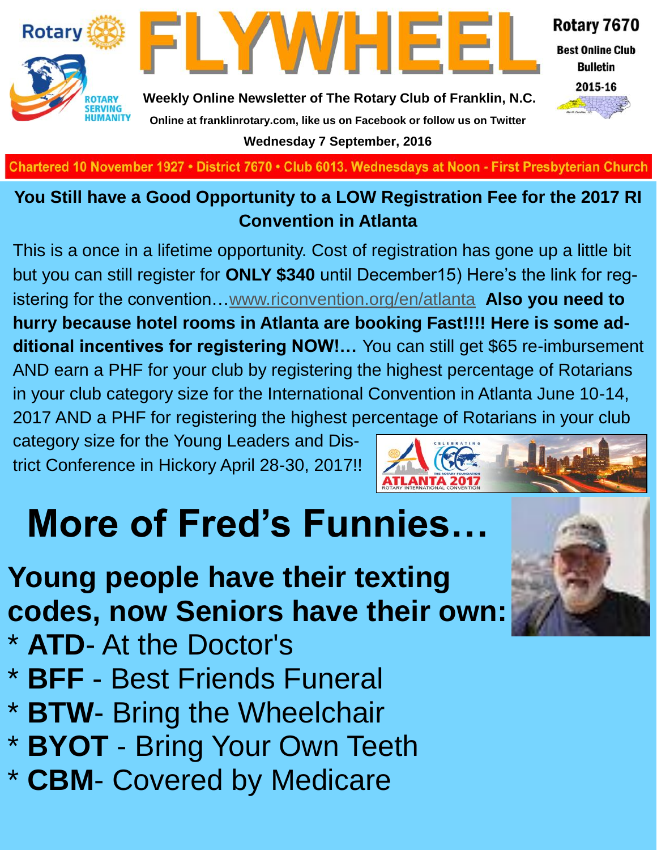

**Rotary ROTARY SERVING**<br>HUMANITY

**Weekly Online Newsletter of The Rotary Club of Franklin, N.C. Online at franklinrotary.com, like us on Facebook or follow us on Twitter Wednesday 7 September, 2016**

**Charted November 29, 1927 • District 7670 • Club 6013 Wednesdays at Noon - First Presbyterian Church**

### **You Still have a Good Opportunity to a LOW Registration Fee for the 2017 RI Convention in Atlanta**

This is a once in a lifetime opportunity. Cost of registration has gone up a little bit but you can still register for **ONLY \$340** until December15) Here's the link for registering for the convention…[www.riconvention.org/en/atlanta](http://www.riconvention.org/en/atlanta) **Also you need to hurry because hotel rooms in Atlanta are booking Fast!!!! Here is some additional incentives for registering NOW!…** You can still get \$65 re-imbursement AND earn a PHF for your club by registering the highest percentage of Rotarians in your club category size for the International Convention in Atlanta June 10-14, 2017 AND a PHF for registering the highest percentage of Rotarians in your club

category size for the Young Leaders and District Conference in Hickory April 28-30, 2017!!



# **More of Fred's Funnies…**

**Young people have their texting codes, now Seniors have their own:** 

- \* **ATD** At the Doctor's
- \* **BFF** Best Friends Funeral
- \* **BTW** Bring the Wheelchair
- \* **BYOT** Bring Your Own Teeth
- \* **CBM** Covered by Medicare





**Bulletin** 2015-16

Rotary 7670